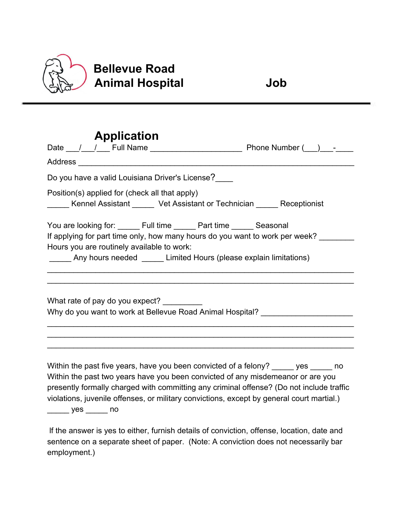

# **Bellevue Road Animal Hospital Job**

## **Application** Date \_\_\_/\_\_\_/\_\_\_ Full Name \_\_\_\_\_\_\_\_\_\_\_\_\_\_\_\_\_\_\_\_\_ Phone Number (\_\_\_)\_\_\_-\_\_\_\_ Address \_\_\_\_\_\_\_\_\_\_\_\_\_\_\_\_\_\_\_\_\_\_\_\_\_\_\_\_\_\_\_\_\_\_\_\_\_\_\_\_\_\_\_\_\_\_\_\_\_\_\_\_\_\_\_\_\_\_\_\_\_\_\_ Do you have a valid Louisiana Driver's License? Position(s) applied for (check all that apply) \_\_\_\_\_ Kennel Assistant \_\_\_\_\_ Vet Assistant or Technician \_\_\_\_\_ Receptionist You are looking for: <br>Full time \_\_\_\_\_\_ Part time \_\_\_\_\_\_ Seasonal If applying for part time only, how many hours do you want to work per week? Hours you are routinely available to work: \_\_\_\_\_ Any hours needed \_\_\_\_\_ Limited Hours (please explain limitations) \_\_\_\_\_\_\_\_\_\_\_\_\_\_\_\_\_\_\_\_\_\_\_\_\_\_\_\_\_\_\_\_\_\_\_\_\_\_\_\_\_\_\_\_\_\_\_\_\_\_\_\_\_\_\_\_\_\_\_\_\_\_\_\_\_\_\_\_\_\_ \_\_\_\_\_\_\_\_\_\_\_\_\_\_\_\_\_\_\_\_\_\_\_\_\_\_\_\_\_\_\_\_\_\_\_\_\_\_\_\_\_\_\_\_\_\_\_\_\_\_\_\_\_\_\_\_\_\_\_\_\_\_\_\_\_\_\_\_\_\_ What rate of pay do you expect? Why do you want to work at Bellevue Road Animal Hospital? \_\_\_\_\_\_\_\_\_\_\_\_\_\_\_\_\_\_\_\_\_\_\_\_\_\_\_\_\_\_\_\_\_\_\_\_\_\_\_\_\_\_\_\_\_\_\_\_\_\_\_\_\_\_\_\_\_\_\_\_\_\_\_\_\_\_\_\_\_\_ \_\_\_\_\_\_\_\_\_\_\_\_\_\_\_\_\_\_\_\_\_\_\_\_\_\_\_\_\_\_\_\_\_\_\_\_\_\_\_\_\_\_\_\_\_\_\_\_\_\_\_\_\_\_\_\_\_\_\_\_\_\_\_\_\_\_\_\_\_\_ \_\_\_\_\_\_\_\_\_\_\_\_\_\_\_\_\_\_\_\_\_\_\_\_\_\_\_\_\_\_\_\_\_\_\_\_\_\_\_\_\_\_\_\_\_\_\_\_\_\_\_\_\_\_\_\_\_\_\_\_\_\_\_\_\_\_\_\_\_\_ Within the past five years, have you been convicted of a felony? es example of Within the past two years have you been convicted of any misdemeanor or are you presently formally charged with committing any criminal offense? (Do not include traffic

violations, juvenile offenses, or military convictions, except by general court martial.) \_\_\_\_\_ yes \_\_\_\_\_ no

 lf the answer is yes to either, furnish details of conviction, offense, location, date and sentence on a separate sheet of paper. (Note: A conviction does not necessarily bar employment.)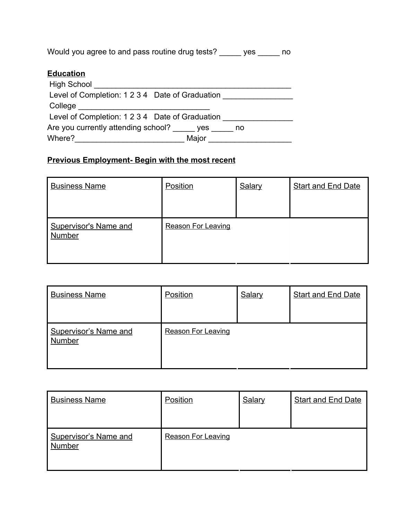Would you agree to and pass routine drug tests? \_\_\_\_\_ yes \_\_\_\_\_ no

### **Education**

| <b>High School</b>                              |       |
|-------------------------------------------------|-------|
| Level of Completion: 1 2 3 4 Date of Graduation |       |
| College                                         |       |
| Level of Completion: 1 2 3 4 Date of Graduation |       |
| Are you currently attending school?             | no no |
| Where?<br>Major                                 |       |

### **Previous Employment- Begin with the most recent**

| <b>Business Name</b>                          | Position                  | Salary | <b>Start and End Date</b> |
|-----------------------------------------------|---------------------------|--------|---------------------------|
| <b>Supervisor's Name and</b><br><b>Number</b> | <b>Reason For Leaving</b> |        |                           |

| <b>Business Name</b>                   | Position                  | <b>Salary</b> | <b>Start and End Date</b> |
|----------------------------------------|---------------------------|---------------|---------------------------|
| <b>Supervisor's Name and</b><br>Number | <b>Reason For Leaving</b> |               |                           |

| <b>Business Name</b>                          | Position                  | <b>Salary</b> | <b>Start and End Date</b> |
|-----------------------------------------------|---------------------------|---------------|---------------------------|
| <b>Supervisor's Name and</b><br><b>Number</b> | <b>Reason For Leaving</b> |               |                           |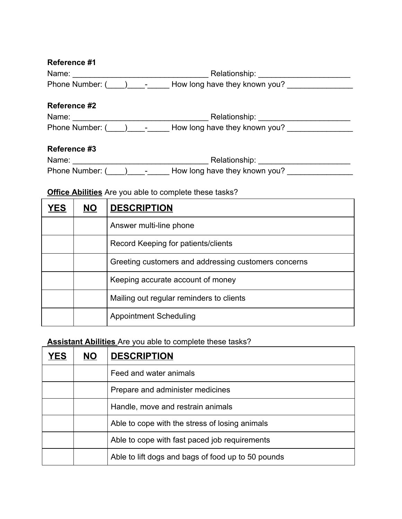| Reference #1         |                               |
|----------------------|-------------------------------|
| Name:                | Relationship:                 |
| Phone Number: (<br>- | How long have they known you? |

#### **Reference #2**

| Name:           | Relationship:                      |
|-----------------|------------------------------------|
| Phone Number: ( | How long have they known you?<br>- |

#### **Reference #3**

| Name:           | Relationship:                                             |
|-----------------|-----------------------------------------------------------|
| Phone Number: ( | How long have they known you?<br>$\overline{\phantom{a}}$ |

### **Office Abilities** Are you able to complete these tasks?

| YES | NO. | <b>DESCRIPTION</b>                                   |
|-----|-----|------------------------------------------------------|
|     |     | Answer multi-line phone                              |
|     |     | Record Keeping for patients/clients                  |
|     |     | Greeting customers and addressing customers concerns |
|     |     | Keeping accurate account of money                    |
|     |     | Mailing out regular reminders to clients             |
|     |     | <b>Appointment Scheduling</b>                        |

## **Assistant Abilities** Are you able to complete these tasks?

| YES | NO. | <b>DESCRIPTION</b>                                 |
|-----|-----|----------------------------------------------------|
|     |     | Feed and water animals                             |
|     |     | Prepare and administer medicines                   |
|     |     | Handle, move and restrain animals                  |
|     |     | Able to cope with the stress of losing animals     |
|     |     | Able to cope with fast paced job requirements      |
|     |     | Able to lift dogs and bags of food up to 50 pounds |